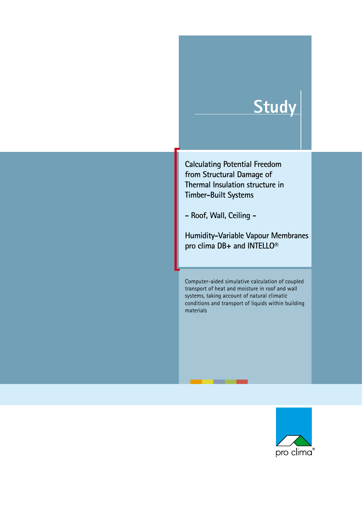# **Study**

**Calculating Potential Freedom from Structural Damage of Thermal Insulation structure in Timber-Built Systems**

**- Roof, Wall, Ceiling -**

**Humidity-Variable Vapour Membranes pro clima DB+ and INTELLO®**

Computer-aided simulative calculation of coupled transport of heat and moisture in roof and wall systems, taking account of natural climatic conditions and transport of liquids within building materials

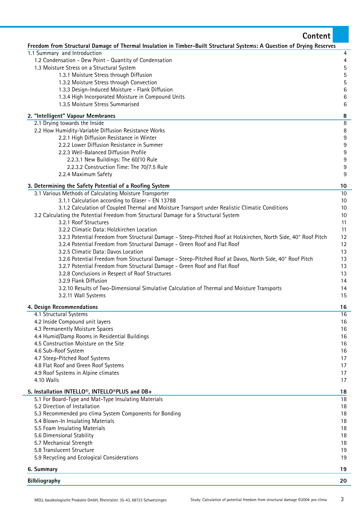| Content                                                                                                                |                  |
|------------------------------------------------------------------------------------------------------------------------|------------------|
| Freedom from Structural Damage of Thermal Insulation in Timber-Built Structural Systems: A Question of Drying Reserves |                  |
| 1.1 Summary and Introduction                                                                                           | 4                |
| 1.2 Condensation - Dew Point - Quantity of Condensation                                                                | 4                |
| 1.3 Moisture Stress on a Structural System                                                                             | 5                |
| 1.3.1 Moisture Stress through Diffusion                                                                                | 5                |
| 1.3.2 Moisture Stress through Convection                                                                               | 5                |
| 1.3.3 Design-Induced Moisture - Flank Diffusion<br>1.3.4 High Incorporated Moisture in Compound Units                  | $\,6$<br>6       |
| 1.3.5 Moisture Stress Summarised                                                                                       | 6                |
| 2. "Intelligent" Vapour Membranes                                                                                      | 8                |
| 2.1 Drying towards the Inside                                                                                          | $\, 8$           |
| 2.2 How Humidity-Variable Diffusion Resistance Works                                                                   | 8                |
| 2.2.1 High Diffusion Resistance in Winter                                                                              | 9                |
| 2.2.2 Lower Diffusion Resistance in Summer<br>2.2.3 Well-Balanced Diffusion Profile                                    | 9<br>$9\,$       |
| 2.2.3.1 New Buildings: The 60/10 Rule                                                                                  | $\boldsymbol{9}$ |
| 2.2.3.2 Construction Time: The 70/7.5 Rule                                                                             | 9                |
| 2.2.4 Maximum Safety                                                                                                   | 9                |
| 3. Determining the Safety Potential of a Roofing System                                                                | 10               |
| 3.1 Various Methods of Calculating Moisture Transporter                                                                | 10               |
| 3.1.1 Calculation according to Glaser - EN 13788                                                                       | 10               |
| 3.1.2 Calculation of Coupled Thermal and Moisture Transport under Realistic Climatic Conditions                        | 10               |
| 3.2 Calculating the Potential Freedom from Structural Damage for a Structural System                                   | 10               |
| 3.2.1 Roof Structures                                                                                                  | 11               |
| 3.2.2 Climatic Data: Holzkirchen Location                                                                              | 11               |
| 3.2.3 Potential Freedom from Structural Damage - Steep-Pitched Roof at Holzkirchen, North Side, 40° Roof Pitch         | 12               |
| 3.2.4 Potential Freedom from Structural Damage - Green Roof and Flat Roof<br>3.2.5 Climatic Data: Davos Location       | 12<br>13         |
| 3.2.6 Potential Freedom from Structural Damage - Steep-Pitched Roof at Davos, North Side, 40° Roof Pitch               | 13               |
| 3.2.7 Potential Freedom from Structural Damage - Green Roof and Flat Roof                                              | 13               |
| 3.2.8 Conclusions in Respect of Roof Structures                                                                        | 13               |
| 3.2.9 Flank Diffusion                                                                                                  | 14               |
| 3.2.10 Results of Two-Dimensional Simulative Calculation of Thermal and Moisture Transports                            | 14               |
| 3.2.11 Wall Systems                                                                                                    | 15               |
| 4. Design Recommendations                                                                                              | 16               |
| 4.1 Structural Systems                                                                                                 | 16               |
| 4.2 Inside Compound unit layers                                                                                        | 16               |
| 4.3 Permanently Moisture Spaces                                                                                        | 16               |
| 4.4 Humid/Damp Rooms in Residential Buildings<br>4.5 Construction Moisture on the Site                                 | 16<br>16         |
| 4.6 Sub-Roof System                                                                                                    | 16               |
| 4.7 Steep-Pitched Roof Systems                                                                                         | 17               |
| 4.8 Flat Roof and Green Roof Systems                                                                                   | 17               |
| 4.9 Roof Systems in Alpine climates                                                                                    | 17               |
| 4.10 Walls                                                                                                             | 17               |
| 5. Installation INTELLO <sup>®</sup> , INTELLO <sup>®</sup> PLUS and DB+                                               | 18               |
| 5.1 For Board-Type and Mat-Type Insulating Materials                                                                   | 18               |
| 5.2 Direction of Installation                                                                                          | 18               |
| 5.3 Recommended pro clima System Components for Bonding                                                                | 18               |
| 5.4 Blown-In Insulating Materials                                                                                      | 18               |
| 5.5 Foam Insulating Materials<br>5.6 Dimensional Stability                                                             | 18<br>18         |
| 5.7 Mechanical Strength                                                                                                | 18               |
| 5.8 Translucent Structure                                                                                              | 19               |
| 5.9 Recycling and Ecological Considerations                                                                            | 19               |
| 6. Summary                                                                                                             | 19               |
| <b>Bilbliography</b>                                                                                                   | 20               |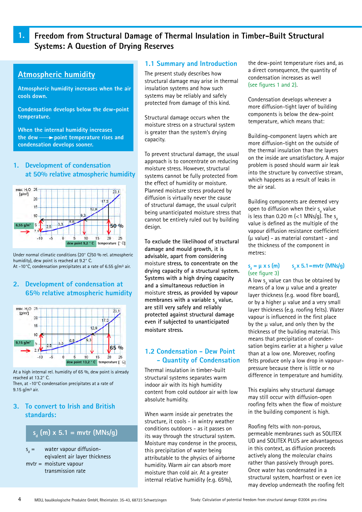### **1. Freedom from Structural Damage of Thermal Insulation in Timber-Built Structural Systems: A Question of Drying Reserves**

### **Atmospheric humidity**

**Atmospheric humidity increases when the air cools down.**

**Condensation develops below the dew-point temperature.**

**When the internal humidity increases the dew point temperature rises and condensation develops sooner.**

#### **1. Development of condensation at 50% relative atmospheric humidity**



Under normal climatic conditions (20° C/50 % rel. atmospheric humidity), dew point is reached at 9.2° C. At -10 $^{\circ}$ C, condensation precipitates at a rate of 6.55 g/m<sup>3</sup> air.

### **2. Development of condensation at 65% relative atmospheric humidity**



At a high internal rel. humidity of 65 %, dew point is already reached at 13.2° C. Then, at -10°C condensation precipitates at a rate of

9.15  $q/m^3$  air.

### **3. To convert to Irish and British standards:**

### **sd (m) x 5.1 = mvtr (MNs/g)**

 $S_a =$ water vapour diffusioneqivalent air layer thickness mvtr = moisture vapour transmission rate

#### **1.1 Summary and Introduction**

The present study describes how structural damage may arise in thermal insulation systems and how such systems may be reliably and safely protected from damage of this kind.

Structural damage occurs when the moisture stress on a structural system is greater than the system's drying capacity.

To prevent structural damage, the usual approach is to concentrate on reducing moisture stress. However, structural systems cannot be fully protected from the effect of humidity or moisture. Planned moisture stress produced by diffusion is virtually never the cause of structural damage, the usual culprit being unanticipated moisture stress that cannot be entirely ruled out by building design.

**To exclude the likelihood of structural damage and mould growth, it is advisable, apart from considering**  moisture **stress, to concentrate on the drying capacity of a structural system. Systems with a high drying capacity and a simultaneous reduction in**  moisture **stress, as provided by vapour**  membranes with a variable s<sub>d</sub> value, **are still very safely and reliably protected against structural damage even if subjected to unanticipated moisture stress.**

### **1.2 Condensation - Dew Point - Quantity of Condensation**

Thermal insulation in timber-built structural systems separates warm indoor air with its high humidity content from cold outdoor air with low absolute humidity.

When warm inside air penetrates the structure, it cools - in wintry weather conditions outdoors - as it passes on its way through the structural system. Moisture may condense in the process, this precipitation of water being attributable to the physics of airborne humidity. Warm air can absorb more moisture than cold air. At a greater internal relative humidity (e.g. 65%),

the dew-point temperature rises and, as a direct consequence, the quantity of condensation increases as well (see figures 1 and 2).

Condensation develops whenever a more diffusion-tight layer of building components is below the dew-point temperature, which means that:

Building-component layers which are more diffusion-tight on the outside of the thermal insulation than the layers on the inside are unsatisfactory. A major problem is posed should warm air leak into the structure by convective stream, which happens as a result of leaks in the air seal.

Building components are deemed very open to diffusion when their  $s_d$  value is less than 0.20 m ( $<$ 1 MNs/g). The s<sub>d</sub> value is defined as the multiple of the vapour diffusion resistance coefficient  $(\mu \text{ value})$  - as material constant - and the thickness of the component in metres:

#### $s_n = \mu \times s$  (m) **s x 5.1=mvtr (MNs/g)** (see figure 3)

A low s<sub>d</sub> value can thus be obtained by means of a low  $\mu$  value and a greater layer thickness (e.g. wood fibre board), or by a higher  $\mu$  value and a very small layer thickness (e.g. roofing felts). Water vapour is influenced in the first place by the  $\mu$  value, and only then by the thickness of the building material. This means that precipitation of condensation begins earlier at a higher  $\mu$  value than at a low one. Moreover, roofing felts produce only a low drop in vapourpressure because there is little or no difference in temperature and humidity.

This explains why structural damage may still occur with diffusion-open roofing felts when the flow of moisture in the building component is high.

Roofing felts with non-porous, permeable membranes such as SOLITEX UD and SOLITEX PLUS are advantageous in this context, as diffusion proceeds actively along the molecular chains rather than passively through pores. Once water has condensated in a structural system, hoarfrost or even ice may develop underneath the roofing felt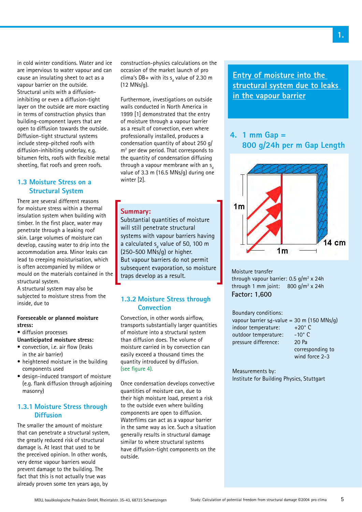in cold winter conditions. Water and ice are impervious to water vapour and can cause an insulating sheet to act as a vapour barrier on the outside. Structural units with a diffusioninhibiting or even a diffusion-tight layer on the outside are more exacting in terms of construction physics than building-component layers that are open to diffusion towards the outside. Diffusion-tight structural systems include steep-pitched roofs with diffusion-inhibiting underlay, e.g. bitumen felts, roofs with flexible metal sheeting, flat roofs and green roofs.

### **1.3 Moisture Stress on a Structural System**

There are several different reasons for moisture stress within a thermal insulation system when building with timber. In the first place, water may penetrate through a leaking roof skin. Large volumes of moisture can develop, causing water to drip into the accommodation area. Minor leaks can lead to creeping moisturisation, which is often accompanied by mildew or mould on the materials contained in the structural system.

A structural system may also be subjected to moisture stress from the inside, due to

#### **Foreseeable or planned moisture stress:**

- diffusion processes
- **Unanticipated moisture stress:**
- convection, i.e. air flow (leaks in the air barrier)
- heightened moisture in the building components used
- design-induced transport of moisture (e.g. flank diffusion through adjoining masonry)

### **1.3.1 Moisture Stress through Diffusion**

The smaller the amount of moisture that can penetrate a structural system, the greatly reduced risk of structural damage is. At least that used to be the preceived opinion. In other words, very dense vapour barriers would prevent damage to the building. The fact that this is not actually true was already proven some ten years ago, by

construction-physics calculations on the occasion of the market launch of pro clima's DB+ with its  $s_d$  value of 2.30 m (12 MNs/g).

Furthermore, investigations on outside walls conducted in North America in 1999 [1] demonstrated that the entry of moisture through a vapour barrier as a result of convection, even where professionally installed, produces a condensation quantity of about 250 g/ m<sup>2</sup> per dew period. That corresponds to the quantity of condensation diffusing through a vapour membrane with an  $s<sub>a</sub>$ value of 3.3 m (16.5 MNs/g) during one winter [2].

#### **Summary:**

Substantial quantities of moisture will still penetrate structural systems with vapour barriers having a calculated  $s_{\rm d}$  value of 50, 100 m (250-500 MNs/g) or higher. But vapour barriers do not permit subsequent evaporation, so moisture traps develop as a result.

### **1.3.2 Moisture Stress through Convection**

Convection, in other words airflow, transports substantially larger quantities of moisture into a structural system than diffusion does. The volume of moisture carried in by convection can easily exceed a thousand times the quantity introduced by diffusion. (see figure 4).

Once condensation develops convective quantities of moisture can, due to their high moisture load, present a risk to the outside even where building components are open to diffusion. Waterfilms can act as a vapour barrier in the same way as ice. Such a situation generally results in structural damage similar to where structural systems have diffusion-tight components on the outside.

**Entry of moisture into the structural system due to leaks in the vapour barrier**

### **4. 1 mm Gap = 800 g/24h per m Gap Length**



Moisture transfer through vapour barrier:  $0.5$  g/m<sup>2</sup> x 24h through 1 mm joint:  $800 g/m^2 \times 24h$ **Factor: 1,600**

#### Boundary conditions:

vapour barrier s<sub>d</sub>-value = 30 m (150 MNs/g)<br>indoor temperature:  $+20^{\circ}$  C indoor temperature: outdoor temperature: -10° C pressure difference: 20 Pa corresponding to wind force 2-3

Measurements by: Institute for Building Physics, Stuttgart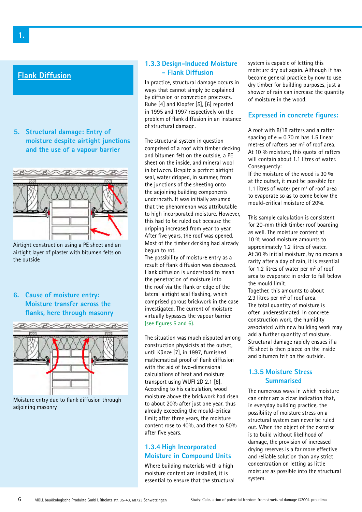### **Flank Diffusion**

**5. Structural damage: Entry of moisture despite airtight junctions and the use of a vapour barrier**



Airtight construction using a PE sheet and an airtight layer of plaster with bitumen felts on the outside

**6. Cause of moisture entry: Moisture transfer across the flanks, here through masonry**



Moisture entry due to flank diffusion through adjoining masonry

#### **1.3.3 Design-Induced Moisture - Flank Diffusion**

In practice, structural damage occurs in ways that cannot simply be explained by diffusion or convection processes. Ruhe [4] and Klopfer [5], [6] reported in 1995 and 1997 respectively on the problem of flank diffusion in an instance of structural damage.

The structural system in question comprised of a roof with timber decking and bitumen felt on the outside, a PE sheet on the inside, and mineral wool in between. Despite a perfect airtight seal, water dripped, in summer, from the junctions of the sheeting onto the adjoining building components underneath. It was initially assumed that the phenomenon was attributable to high incorporated moisture. However, this had to be ruled out because the dripping increased from year to year. After five years, the roof was opened. Most of the timber decking had already begun to rot.

The possibility of moisture entry as a result of flank diffusion was discussed. Flank diffusion is understood to mean the penetration of moisture into the roof via the flank or edge of the lateral airtight seal flashing, which comprised porous brickwork in the case investigated. The current of moisture virtually bypasses the vapour barrier (see figures 5 and 6).

The situation was much disputed among construction physicists at the outset, until Künze [7], in 1997, furnished mathematical proof of flank diffusion with the aid of two-dimensional calculations of heat and moisture transport using WUFI 2D 2.1 [8]. According to his calculation, wood moisture above the brickwork had risen to about 20% after just one year, thus already exceeding the mould-critical limit; after three years, the moisture content rose to 40%, and then to 50% after five years.

### **1.3.4 High Incorporated Moisture in Compound Units**

Where building materials with a high moisture content are installed, it is essential to ensure that the structural system is capable of letting this moisture dry out again. Although it has become general practice by now to use dry timber for building purposes, just a shower of rain can increase the quantity of moisture in the wood.

#### **Expressed in concrete figures:**

A roof with 8/18 rafters and a rafter spacing of  $e = 0.70$  m has 1.5 linear metres of rafters per  $m<sup>2</sup>$  of roof area. At 10 % moisture, this quota of rafters will contain about 1.1 litres of water. Consequently:

If the moisture of the wood is 30 % at the outset, it must be possible for 1.1 litres of water per  $m<sup>2</sup>$  of roof area to evaporate so as to come below the mould-critical moisture of 20%.

This sample calculation is consistent for 20-mm thick timber roof boarding as well. The moisture content at 10 % wood moisture amounts to approximately 1.2 litres of water. At 30 % initial moisture, by no means a rarity after a day of rain, it is essential for 1.2 litres of water per  $m<sup>2</sup>$  of roof area to evaporate in order to fall below the mould limit.

Together, this amounts to about 2.3 litres per  $m<sup>2</sup>$  of roof area. The total quantity of moisture is often underestimated. In concrete construction work, the humidity associated with new building work may add a further quantity of moisture. Structural damage rapidly ensues if a PE sheet is then placed on the inside and bitumen felt on the outside.

### **1.3.5 Moisture Stress Summarised**

The numerous ways in which moisture can enter are a clear indication that, in everyday building practice, the possibility of moisture stress on a structural system can never be ruled out. When the object of the exercise is to build without likelihood of damage, the provision of increased drying reserves is a far more effective and reliable solution than any strict concentration on letting as little moisture as possible into the structural system.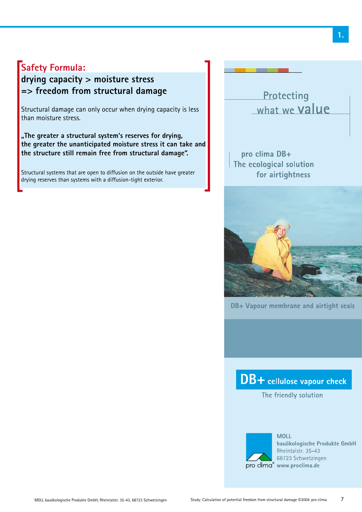## **Safety Formula:**

## **drying capacity > moisture stress => freedom from structural damage**

Structural damage can only occur when drying capacity is less than moisture stress.

**"The greater a structural system's reserves for drying, the greater the unanticipated moisture stress it can take and the structure still remain free from structural damage".** 

Structural systems that are open to diffusion on the outside have greater drying reserves than systems with a diffusion-tight exterior.

Protecting what we value

pro clima DB+ The ecological solution for airtightness



DB+ Vapour membrane and airtight seals

## DB+ cellulose vapour check

The friendly solution



**MOLL** bauökologische Produkte GmbH Rheintalstr, 35-43 68723 Schwetzingen pro clima® www.proclima.de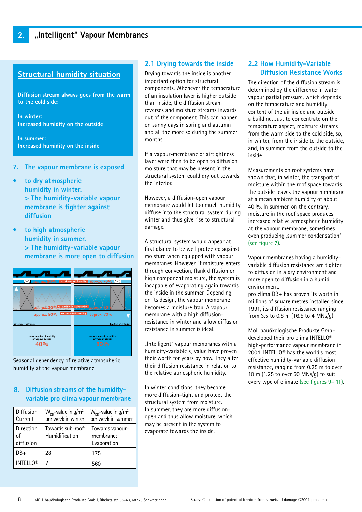### **Structural humidity situation**

**Diffusion stream always goes from the warm to the cold side:**

**In winter: Increased humidity on the outside**

**In summer: Increased humidity on the inside**

- **7. The vapour membrane is exposed**
- **to dry atmospheric humidity in winter. > The humidity-variable vapour membrane is tighter against diffusion**
- **• to high atmospheric humidity in summer. > The humidity-variable vapour membrane is more open to diffusion**



Seasonal dependency of relative atmospheric humidity at the vapour membrane

### **8. Diffusion streams of the humidityvariable pro clima vapour membrane**

| Diffusion<br>Current   | $W_{\text{nn}}$ -value in g/m <sup>2</sup><br>per week in winter | $W_{\text{nn}}$ -value in g/m <sup>2</sup><br>per week in summer |
|------------------------|------------------------------------------------------------------|------------------------------------------------------------------|
| Direction<br>diffusion | Towards sub-roof:<br>Humidification                              | Towards vapour-<br>membrane:<br>Evaporation                      |
| $DB+$                  | 28                                                               | 175                                                              |
| <b>INTELLO®</b>        |                                                                  | 560                                                              |

### **2.1 Drying towards the inside**

Drying towards the inside is another important option for structural components. Whenever the temperature of an insulation layer is higher outside than inside, the diffusion stream reverses and moisture streams inwards out of the component. This can happen on sunny days in spring and autumn and all the more so during the summer months.

If a vapour-membrane or airtightness layer were then to be open to diffusion, moisture that may be present in the structural system could dry out towards the interior.

However, a diffusion-open vapour membrane would let too much humidity diffuse into the structural system during winter and thus give rise to structural damage.

A structural system would appear at first glance to be well protected against moisture when equipped with vapour membranes. However, if moisture enters through convection, flank diffusion or high component moisture, the system is incapable of evaporating again towards the inside in the summer. Depending on its design, the vapour membrane becomes a moisture trap. A vapour membrane with a high diffusionresistance in winter and a low diffusion resistance in summer is ideal.

"Intelligent" vapour membranes with a humidity-variable s<sub>a</sub> value have proven their worth for years by now. They alter their diffusion resistance in relation to the relative atmospheric humidity.

In winter conditions, they become more diffusion-tight and protect the structural system from moisture. In summer, they are more diffusionopen and thus allow moisture, which may be present in the system to evaporate towards the inside.

#### **2.2 How Humidity-Variable Diffusion Resistance Works**

The direction of the diffusion stream is determined by the difference in water vapour partial pressure, which depends on the temperature and humidity content of the air inside and outside a building. Just to concentrate on the temperature aspect, moisture streams from the warm side to the cold side, so, in winter, from the inside to the outside, and, in summer, from the outside to the inside.

Measurements on roof systems have shown that, in winter, the transport of moisture within the roof space towards the outside leaves the vapour membrane at a mean ambient humidity of about 40 %. In summer, on the contrary, moisture in the roof space produces increased relative atmospheric humidity at the vapour membrane, sometimes even producing ,summer condensation' (see figure 7).

Vapour membranes having a humidityvariable diffusion resistance are tighter to diffusion in a dry environment and more open to diffusion in a humid environment.

pro clima DB+ has proven its worth in millions of square metres installed since 1991, its diffusion resistance ranging from 3.5 to 0.8 m (16.5 to 4 MNs/g).

Moll bauökologische Produkte GmbH developed their pro clima INTELLO® high-performance vapour membrane in 2004. INTELLO® has the world's most effective humidity-variable diffusion resistance, ranging from 0.25 m to over 10 m (1.25 to over 50 MNs/g) to suit every type of climate (see figures 9– 11).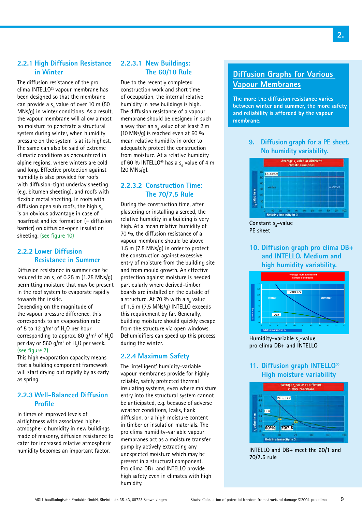#### **2.2.1 High Diffusion Resistance in Winter**

The diffusion resistance of the pro clima INTELLO© vapour membrane has been designed so that the membrane can provide a s<sub>d</sub> value of over 10 m (50 MNs/g) in winter conditions. As a result, the vapour membrane will allow almost no moisture to penetrate a structural system during winter, when humidity pressure on the system is at its highest. The same can also be said of extreme climatic conditions as encountered in alpine regions, where winters are cold and long. Effective protection against humidity is also provided for roofs with diffusion-tight underlay sheeting (e.g. bitumen sheeting), and roofs with flexible metal sheeting. In roofs with diffusion open sub roofs, the high  $s_{\alpha}$ is an obvious advantage in case of hoarfrost and ice formation (= diffusion barrier) on diffusion-open insulation sheeting. (see figure 10)

### **2.2.2 Lower Diffusion Resistance in Summer**

Diffusion resistance in summer can be reduced to an  $\mathsf{s}_{_{\sf d}}$  of 0.25 m (1.25 MNs/g) permitting moisture that may be present in the roof system to evaporate rapidly towards the inside.

Depending on the magnitude of the vapour pressure difference, this corresponds to an evaporation rate of 5 to 12 g/m<sup>2</sup> of  $H<sub>2</sub>$ O per hour corresponding to approx. 80 g/m $^2$  of  ${\sf H}_2^{}$ O per day or 560 g/m $^2$  of  $\rm H^{}_2\rm O$  per week. (see figure 7)

This high evaporation capacity means that a building component framework will start drying out rapidly by as early as spring.

#### **2.2.3 Well-Balanced Diffusion Profile**

In times of improved levels of airtightness with associated higher atmospheric humidity in new buildings made of masonry, diffusion resistance to cater for increased relative atmospheric humidity becomes an important factor.

### **2.2.3.1 New Buildings: The 60/10 Rule**

Due to the recently completed construction work and short time of occupation, the internal relative humidity in new buildings is high. The diffusion resistance of a vapour membrane should be designed in such a way that an  $\mathsf{s}_{_\text{d}}$  value of at least 2 m (10 MNs/g) is reached even at 60 % mean relative humidity in order to adequately protect the construction from moisture. At a relative humidity of 60 % INTELLO® has a s<sub>d</sub> value of 4 m (20 MNs/g).

### **2.2.3.2 Construction Time: The 70/7,5 Rule**

During the construction time, after plastering or installing a screed, the relative humidity in a building is very high. At a mean relative humidity of 70 %, the diffusion resistance of a vapour membrane should be above 1.5 m (7.5 MNs/g) in order to protect the construction against excessive entry of moisture from the building site and from mould growth. An effective protection against moisture is needed particularly where derived-timber boards are installed on the outside of a structure. At 70 % with a s<sub>d</sub> value of 1.5 m (7,5 MNs/g) INTELLO exceeds this requirement by far. Generally, building moisture should quickly escape from the structure via open windows. Dehumidifiers can speed up this process during the winter.

### **2.2.4 Maximum Safety**

The 'intelligent' humidity-variable vapour membranes provide for highly reliable, safely protected thermal insulating systems, even where moisture entry into the structural system cannot be anticipated, e.g. because of adverse weather conditions, leaks, flank diffusion, or a high moisture content in timber or insulation materials. The pro clima humidity-variable vapour membranes act as a moisture transfer pump by actively extracting any unexpected moisture which may be present in a structural component. Pro clima DB+ and INTELLO provide high safety even in climates with high humidity.

### **Diffusion Graphs for Various Vapour Membranes**

**The more the diffusion resistance varies between winter and summer, the more safety and reliability is afforded by the vapour membrane.**

> **9. Diffusion graph for a PE sheet. No humidity variability.**



Constant s<sub>d</sub>-value **PE sheet**

### **10. Diffusion graph pro clima DB+ and INTELLO. Medium and high humidity variability.**



Humidity-variable s<sub>d</sub>-value **pro clima DB+ and INTELLO**

### **11. Diffusion graph INTELLO® High moisture variability**



**INTELLO and DB+ meet the 60/1 and 70/7.5 rule**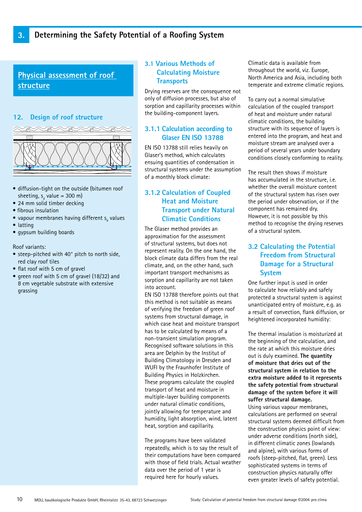**Physical assessment of roof structure**

### **12. Design of roof structure**



- diffusion-tight on the outside (bitumen roof sheeting, s<sub>d</sub> value = 300 m)
- 24 mm solid timber decking
- fibrous insulation
- $\bullet$  vapour membranes having different s<sub>d</sub> values
- latting
- gypsum building boards

Roof variants:

- steep-pitched with 40° pitch to north side, red clay roof tiles
- flat roof with 5 cm of gravel
- green roof with 5 cm of gravel (18/32) and 8 cm vegetable substrate with extensive grassing

### **3.1 Various Methods of Calculating Moisture Transports**

Drying reserves are the consequence not only of diffusion processes, but also of sorption and capillarity processes within the building-component layers.

### **3.1.1 Calculation according to Glaser EN ISO 13788**

EN ISO 13788 still relies heavily on Glaser's method, which calculates ensuing quantities of condensation in structural systems under the assumption of a monthly block climate:

### **3.1.2 Calculation of Coupled Heat and Moisture Transport under Natural Climatic Conditions**

The Glaser method provides an approximation for the assessment of structural systems, but does not represent reality. On the one hand, the block climate data differs from the real climate, and, on the other hand, such important transport mechanisms as sorption and capillarity are not taken into account.

EN ISO 13788 therefore points out that this method is not suitable as means of verifying the freedom of green roof systems from structural damage, in which case heat and moisture transport has to be calculated by means of a non-transient simulation program. Recognised software solutions in this area are Delphin by the Institut of Building Climatology in Dresden and WUFI by the Fraunhofer Institute of Building Physics in Holzkirchen. These programs calculate the coupled transport of heat and moisture in multiple-layer building components under natural climatic conditions, jointly allowing for temperature and humidity, light absorption, wind, latent heat, sorption and capillarity.

The programs have been validated repeatedly, which is to say the result of their computations have been compared with those of field trials. Actual weather data over the period of 1 year is required here for hourly values.

Climatic data is available from throughout the world, viz. Europe, North America and Asia, including both temperate and extreme climatic regions.

To carry out a normal simulative calculation of the coupled transport of heat and moisture under natural climatic conditions, the building structure with its sequence of layers is entered into the program, and heat and moisture stream are analysed over a period of several years under boundary conditions closely conforming to reality.

The result then shows if moisture has accumulated in the structure, i.e. whether the overall moisture content of the structural system has risen over the period under observation, or if the component has remained dry. However, it is not possible by this method to recognise the drying reserves of a structural system.

### **3.2 Calculating the Potential Freedom from Structural Damage for a Structural System**

One further input is used in order to calculate how reliably and safely protected a structural system is against unanticipated entry of moisture, e.g. as a result of convection, flank diffusion, or heightened incorporated humidity:

The thermal insulation is moisturized at the beginning of the calculation, and the rate at which this moisture dries out is duly examined. **The quantity of moisture that dries out of the structural system in relation to the extra moisture added to it represents the safety potential from structural damage of the system before it will suffer structural damage.**

Using various vapour membranes, calculations are performed on several structural systems deemed difficult from the construction physics point of view: under adverse conditions (north side), in different climatic zones (lowlands and alpine), with various forms of roofs (steep-pitched, flat, green). Less sophisticated systems in terms of construction physics naturally offer even greater levels of safety potential.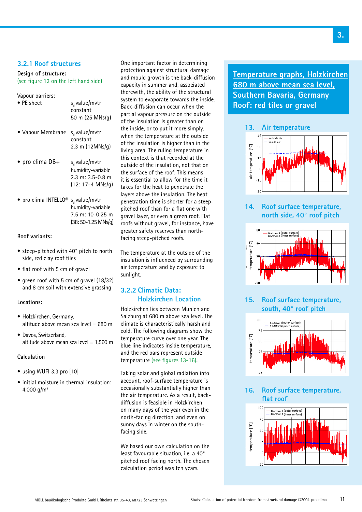#### **3.2.1 Roof structures**

#### **Design of structure:** (see figure 12 on the left hand side)

## Vapour barriers:<br>• PE sheet

s, value/mvtr constant 50 m (25 MNs/g) • Vapour Membrane  $s_d$  value/mvtr constant 2.3 m (12MNs/g) • pro clima  $DB +$  s, value/mvtr humidity-variable 2.3 m: 3.5-0.8 m (12: 17-4 MNs/g) • pro clima INTELLO<sup>®</sup>  $s_d$  value/mvtr humidity-variable 7.5 m: 10-0.25 m

#### **Roof variants:**

• steep-pitched with 40° pitch to north side, red clay roof tiles

(38: 50-1.25 MNs/g)

- flat roof with 5 cm of gravel
- green roof with 5 cm of gravel (18/32) and 8 cm soil with extensive grassing

#### **Locations:**

- Holzkirchen, Germany, altitude above mean sea level = 680 m
- Davos, Switzerland, altitude above mean sea level = 1,560 m

#### **Calculation**

- using WUFI 3.3 pro [10]
- initial moisture in thermal insulation: 4,000  $a/m^2$

One important factor in determining protection against structural damage and mould growth is the back-diffusion capacity in summer and, associated therewith, the ability of the structural system to evaporate towards the inside. Back-diffusion can occur when the partial vapour pressure on the outside of the insulation is greater than on the inside, or to put it more simply, when the temperature at the outside of the insulation is higher than in the living area. The ruling temperature in this context is that recorded at the outside of the insulation, not that on the surface of the roof. This means it is essential to allow for the time it takes for the heat to penetrate the layers above the insulation. The heat penetration time is shorter for a steeppitched roof than for a flat one with gravel layer, or even a green roof. Flat roofs without gravel, for instance, have greater safety reserves than northfacing steep-pitched roofs.

The temperature at the outside of the insulation is influenced by surrounding air temperature and by exposure to sunlight.

#### **3.2.2 Climatic Data: Holzkirchen Location**

Holzkirchen lies between Munich and Salzburg at 680 m above sea level. The climate is characteristically harsh and cold. The following diagrams show the temperature curve over one year. The blue line indicates inside temperature, and the red bars represent outside temperature (see figures 13-16).

Taking solar and global radiation into account, roof-surface temperature is occasionally substantially higher than the air temperature. As a result, backdiffusion is feasible in Holzkirchen on many days of the year even in the north-facing direction, and even on sunny days in winter on the southfacing side.

We based our own calculation on the least favourable situation, i.e. a 40° pitched roof facing north. The chosen calculation period was ten years.

**Temperature graphs, Holzkirchen 680 m above mean sea level, Southern Bavaria, Germany Roof: red tiles or gravel**

#### **13. Air temperature**



**14. Roof surface temperature, north side, 40° roof pitch**



### **15. Roof surface temperature, south, 40° roof pitch**



**16. Roof surface temperature, flat roof**

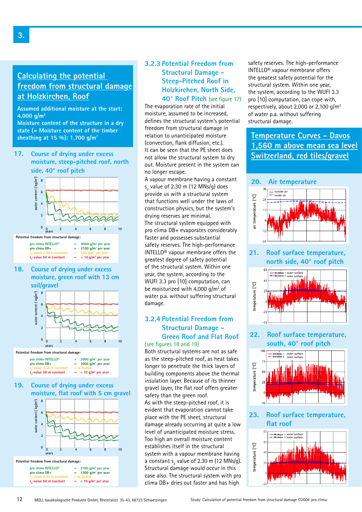### **Calculating the potential freedom from structural damage at Holzkirchen, Roof**

**Assumed additional moisture at the start: 4,000 g/m2**

**Moisture content of the structure in a dry state (= Moisture content of the timber** state (= **MOISTATE** CONCINE OF the timotric relation to unanticipated moisture **Temperature Curves - Davos** sheathing at 15 %): 1,700 g/m<sup>7</sup>

**17. Course of drying under excess moisture, steep-pitched roof, north side, 40° roof pitch**



#### **Potential freedom from structural damage:**

| pro clima INTELLO <sup>®</sup><br>pro clima DB+                 | 4000 $q/m^2$ per year<br>$= 2100$ g/m <sup>2</sup> per year             |  |
|-----------------------------------------------------------------|-------------------------------------------------------------------------|--|
| s,-value 2,30 m constant<br>s <sub>a</sub> -value 50 m constant | $=$ 500 g/m <sup>2</sup> per year<br>$=$ < 10 g/m <sup>2</sup> per year |  |

**18. Course of drying under excess moisture, green roof with 13 cm soil/gravel**



#### **Potential freedom from structural damage:**

| pro clima INTELLO <sup>®</sup> | 2000 $q/m^2$ per year              |
|--------------------------------|------------------------------------|
| pro clima DB+                  | 1000 $q/m^2$ per year              |
| $sa$ -value 2,30 m constant    | $=$ to humid                       |
| s -value 50 m constant         | $=$ < 10 g/m <sup>2</sup> per year |

#### **19. Course of drying under excess moisture, flat roof with 5 cm gravel**



### **3.2.3 Potential Freedom from Structural Damage - Steep-Pitched Roof in Holzkirchen, North Side, 40° Roof Pitch** (see figure 17)

The evaporation rate of the initial moisture, assumed to be increased, defines the structural system's potential freedom from structural damage in relation to unanticipated moisture (convection, flank diffusion, etc.). It can be seen that the PE sheet does not allow the structural system to dry out. Moisture present in the system can no longer escape.

A vapour membrane having a constant s<sub>d</sub> value of 2.30 m (12 MNs/g) does provide us with a structural system that functions well under the laws of construction physics, but the system's drying reserves are minimal. The structural system equipped with pro clima DB+ evaporates considerably faster and possesses substantial safety reserves. The high-performance INTELLO® vapour membrane offers the greatest degree of safety potential of the structural system. Within one year, the system, according to the WUFI 3.3 pro [10] computation, can be moisturized with 4,000  $g/m^2$  of water p.a. without suffering structural damage.

#### **3.2.4 Potential Freedom from Structural Damage - Green Roof and Flat Roof** (see figures 18 and 19)

Both structural systems are not as safe as the steep-pitched roof, as heat takes longer to penetrate the thick layers of building components above the thermal insulation layer. Because of its thinner gravel layer, the flat roof offers greater safety than the green roof. As with the steep-pitched roof, it is evident that evaporation cannot take place with the PE sheet, structural damage already occurring at quite a low level of unanticipated moisture stress. Too high an overall moisture content establishes itself in the structural system with a vapour membrane having a constant s<sub>d</sub> value of 2.30 m (12 MNs/g). Structural damage would occur in this case also. The structural system with pro clima DB+ dries out faster and has high

safety reserves. The high-performance INTELLO® vapour membrane offers the greatest safety potential for the structural system. Within one year, the system, according to the WUFI 3.3 pro [10] computation, can cope with, respectively, about 2,000 or 2,100  $g/m^2$ of water p.a. without suffering structural damage.

## **1,560 m above mean sea level Switzerland, red tiles/gravel**

#### **20. Air temperature**



**21. Roof surface temperature, north side, 40° roof pitch**



### **22. Roof surface temperature, south, 40° roof pitch**



### **23. Roof surface temperature,** flat roof

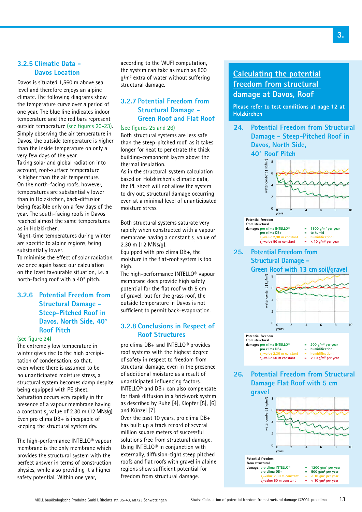#### **3.2.5 Climatic Data - Davos Location**

Davos is situated 1,560 m above sea level and therefore enjoys an alpine climate. The following diagrams show the temperature curve over a period of one year. The blue line indicates indoor temperature and the red bars represent outside temperature (see figures 20-23). Simply observing the air temperature in Davos, the outside temperature is higher than the inside temperature on only a very few days of the year. Taking solar and global radiation into account, roof-surface temperature is higher than the air temperature. On the north-facing roofs, however, temperatures are substantially lower than in Holzkirchen, back-diffusion being feasible only on a few days of the year. The south-facing roofs in Davos reached almost the same temperatures as in Holzkirchen.

Night-time temperatures during winter are specific to alpine regions, being substantially lower.

To minimise the effect of solar radiation, we once again based our calculation on the least favourable situation, i.e. a north-facing roof with a 40° pitch.

### **3.2.6 Potential Freedom from Structural Damage - Steep-Pitched Roof in Davos, North Side, 40° Roof Pitch**

(see figure 24)

The extremely low temperature in winter gives rise to the high precipitation of condensation, so that, even where there is assumed to be no unanticipated moisture stress, a structural system becomes damp despite being equipped with PE sheet. Saturation occurs very rapidly in the presence of a vapour membrane having a constant s<sub>d</sub> value of 2.30 m (12 MNs/g). Even pro clima DB+ is incapable of keeping the structural system dry.

The high-performance INTELLO® vapour membrane is the only membrane which provides the structural system with the perfect answer in terms of construction physics, while also providing it a higher safety potential. Within one year,

according to the WUFI computation, the system can take as much as 800 g/m2 extra of water without suffering structural damage.

### **3.2.7 Potential Freedom from Structural Damage - Green Roof and Flat Roof**

#### (see figures 25 and 26)

Both structural systems are less safe than the steep-pitched roof, as it takes longer for heat to penetrate the thick building-component layers above the thermal insulation.

As in the structural-system calculation based on Holzkirchen's climatic data, the PE sheet will not allow the system to dry out, structural damage occurring even at a minimal level of unanticipated moisture stress.

Both structural systems saturate very rapidly when constructed with a vapour membrane having a constant  $s_d$  value of 2.30 m (12 MNs/g).

Equipped with pro clima DB+, the moisture in the flat-roof system is too high.

The high-performance INTELLO® vapour membrane does provide high safety potential for the flat roof with 5 cm of gravel, but for the grass roof, the outside temperature in Davos is not sufficient to permit back-evaporation.

### **3.2.8 Conclusions in Respect of Roof Structures**

pro clima DB+ and INTELLO® provides roof systems with the highest degree of safety in respect to freedom from structural damage, even in the presence of additional moisture as a result of unanticipated influencing factors. INTELLO® and DB+ can also compensate for flank diffusion in a brickwork system as described by Ruhe [4], Klopfer [5], [6] and Künzel [7].

Over the past 10 years, pro clima DB+ has built up a track record of several million square meters of successful solutions free from structural damage. Using INTELLO® in conjunction with externally, diffusion-tight steep pitched roofs and flat roofs with gravel in alpine regions show sufficient potential for freedom from structural damage.

### **Calculating the potential freedom from structural damage at Davos, Roof**

**Please refer to test conditions at page 12 at Holzkirchen**

**24. Potential Freedom from Structural Damage - Steep-Pitched Roof in Davos, North Side,**



**26. Potential Freedom from Structural Damage Flat Roof with 5 cm gravel**

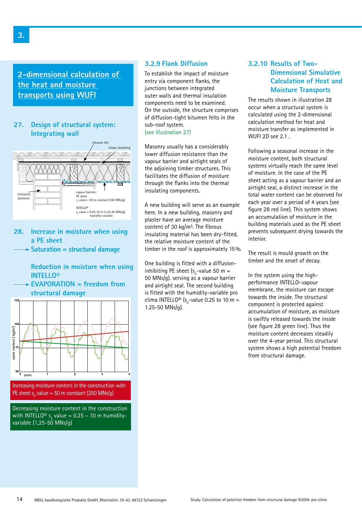**2-dimensional calculation of the heat and moisture transports using WUFI**

#### **27. Design of structural system: Integrating wall**



**28. Increase in moisture when using a PE sheet**

**Saturation = structural damage**

 **Reduction in moisture when using INTELLO®**

**EVAPORATION = freedom from structural damage**



Decreasing moisture content in the construction with INTELLO® s<sub>d</sub> value = 0.25 – 10 m humidity-

variable (1,25-50 MNs/g)

#### **3.2.9 Flank Diffusion**

To establish the impact of moisture entry via component flanks, the junctions between integrated outer walls and thermal insulation components need to be examined. On the outside, the structure comprises of diffusion-tight bitumen felts in the sub-roof system.

(see illustration 27)

Masonry usually has a considerably lower diffusion resistance than the vapour barrier and airtight seals of the adjoining timber structures. This facilitates the diffusion of moisture through the flanks into the thermal insulating components.

A new building will serve as an example here. In a new building, masonry and plaster have an average moisture content of 30 kg/m<sup>3</sup>. The fibrous insulating material has been dry-fitted, the relative moisture content of the timber in the roof is approximately 15 %.

One building is fitted with a diffusioninhibiting PE sheet (s<sub>d</sub>-value 50 m = 50 MNs/g). serving as a vapour barrier and airtight seal. The second building is fitted with the humidity-variable pro clima INTELLO<sup>®</sup> (s<sub>d</sub>-value 0.25 to 10 m = 1.25-50 MNs/g).

### **3.2.10 Results of Two- Dimensional Simulative Calculation of Heat and Moisture Transports**

The results shown in illustration 28 occur when a structural system is calculated using the 2-dimensional calculation method for heat and moisture transfer as implemented in WUFI 2D see 2.1 .

Following a seasonal increase in the moisture content, both structural systems virtually reach the same level of moisture. In the case of the PE sheet acting as a vapour barrier and an airtight seal, a distinct increase in the total water content can be observed for each year over a period of 4 years (see figure 28 red line). This system shows an accumulation of moisture in the building materials used as the PE sheet prevents subsequent drying towards the interior.

The result is mould growth on the timber and the onset of decay.

In the system using the highperformance INTELLO® vapour membrane, the moisture can escape towards the inside. The structural component is protected against accumulation of moisture, as moisture is swiftly released towards the inside (see figure 28 green line). Thus the moisture content decreases steadily over the 4-year period. This structural system shows a high potential freedom from structural damage.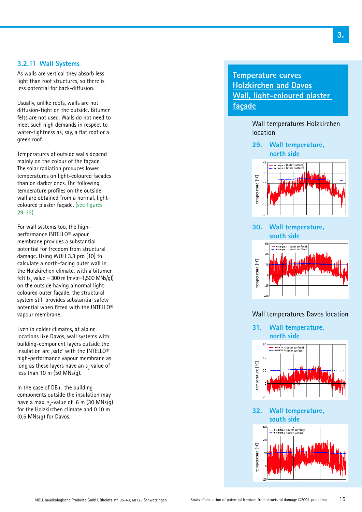#### **3.2.11 Wall Systems**

As walls are vertical they absorb less light than roof structures, so there is less potential for back-diffusion.

Usually, unlike roofs, walls are not diffusion-tight on the outside. Bitumen felts are not used. Walls do not need to meet such high demands in respect to water-tightness as, say, a flat roof or a green roof.

Temperatures of outside walls depend mainly on the colour of the façade. The solar radiation produces lower temperatures on light-coloured facades than on darker ones. The following temperature profiles on the outside wall are obtained from a normal, lightcoloured plaster façade. (see figures 29-32)

For wall systems too, the highperformance INTELLO® vapour membrane provides a substantial potential for freedom from structural damage. Using WUFI 3.3 pro [10] to calculate a north-facing outer wall in the Holzkirchen climate, with a bitumen felt (s<sub>d</sub> value = 300 m (mvtr=1,500 MNs/g)) on the outside having a normal lightcoloured outer façade, the structural system still provides substantial safety potential when fitted with the INTELLO® vapour membrane.

Even in colder climates, at alpine locations like Davos, wall systems with building-component layers outside the insulation are  $\mathsf{safe}'$  with the INTELLO<sup>®</sup> high-performance vapour membrane as long as these layers have an  $\mathsf{s}_{_\text{d}}$  value of less than 10 m (50 MNs/g).

In the case of DB+, the building components outside the insulation may have a max.  $s_{\sf d}^{\phantom{\dagger}}$ -value of  $\phantom{\dagger}$  6 m (30 MNs/g) for the Holzkirchen climate and 0.10 m (0.5 MNs/g) for Davos.

### **Temperature curves Holzkirchen and Davos Wall, light-coloured plaster façade**

Wall temperatures Holzkirchen location

**29. Wall temperature, north side**



### **30. Wall temperature, south side**



#### Wall temperatures Davos location

**31. Wall temperature, north side**



**32. Wall temperature, south side**

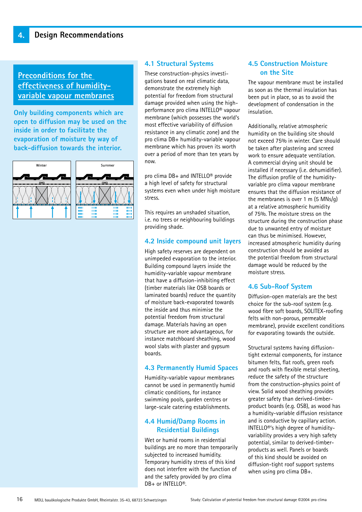### **Preconditions for the effectiveness of humidityvariable vapour membranes**

**Only building components which are open to diffusion may be used on the inside in order to facilitate the evaporation of moisture by way of back-diffusion towards the interior.**



#### **4.1 Structural Systems**

These construction-physics investigations based on real climatic data, demonstrate the extremely high potential for freedom from structural damage provided when using the highperformance pro clima INTELLO® vapour membrane (which possesses the world's most effective variability of diffusion resistance in any climatic zone) and the pro clima DB+ humidity-variable vapour membrane which has proven its worth over a period of more than ten years by now.

pro clima DB+ and INTELLO® provide a high level of safety for structural systems even when under high moisture stress.

This requires an unshaded situation, i.e. no trees or neighbouring buildings providing shade.

#### **4.2 Inside compound unit layers**

High safety reserves are dependent on unimpeded evaporation to the interior. Building compound layers inside the humidity-variable vapour membrane that have a diffusion-inhibiting effect (timber materials like OSB boards or laminated boards) reduce the quantity of moisture back-evaporated towards the inside and thus minimise the potential freedom from structural damage. Materials having an open structure are more advantageous, for instance matchboard sheathing, wood wool slabs with plaster and gypsum boards.

#### **4.3 Permanently Humid Spaces**

Humidity-variable vapour membranes cannot be used in permanently humid climatic conditions, for instance swimming pools, garden centres or large-scale catering establishments.

#### **4.4 Humid/Damp Rooms in Residential Buildings**

Wet or humid rooms in residential buildings are no more than temporarily subjected to increased humidity. Temporary humidity stress of this kind does not interfere with the function of and the safety provided by pro clima DB+ or INTELLO®.

#### **4.5 Construction Moisture on the Site**

The vapour membrane must be installed as soon as the thermal insulation has been put in place, so as to avoid the development of condensation in the insulation.

Additionally, relative atmospheric humidity on the building site should not exceed 75% in winter. Care should be taken after plastering and screed work to ensure adequate ventilation. A commercial drying unit should be installed if necessary (i.e. dehumidifier). The diffusion profile of the humidityvariable pro clima vapour membrane ensures that the diffusion resistance of the membranes is over 1 m (5 MNs/g) at a relative atmospheric humidity of 75%. The moisture stress on the structure during the construction phase due to unwanted entry of moisture can thus be minimised. However, increased atmospheric humidity during construction should be avoided as the potential freedom from structural damage would be reduced by the moisture stress.

#### **4.6 Sub-Roof System**

Diffusion-open materials are the best choice for the sub-roof system (e.g. wood fibre soft boards, SOLITEX-roofing felts with non-porous, permeable membrane), provide excellent conditions for evaporating towards the outside.

Structural systems having diffusiontight external components, for instance bitumen felts, flat roofs, green roofs and roofs with flexible metal sheeting, reduce the safety of the structure from the construction-physics point of view. Solid wood sheathing provides greater safety than derived-timberproduct boards (e.g. OSB), as wood has a humidity-variable diffusion resistance and is conductive by capillary action. INTELLO®'s high degree of humidityvariability provides a very high safety potential, similar to derived-timberproducts as well. Panels or boards of this kind should be avoided on diffusion-tight roof support systems when using pro clima DB+.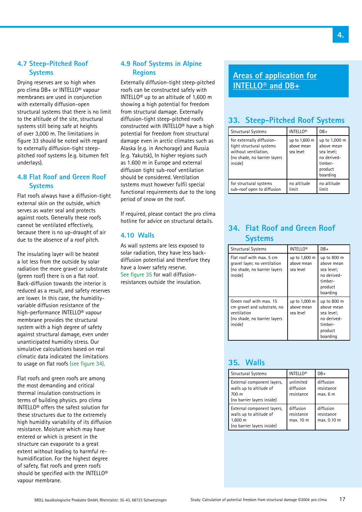#### **4.7 Steep-Pitched Roof Systems**

Drying reserves are so high when pro clima DB+ or INTELLO® vapour membranes are used in conjunction with externally diffusion-open structural systems that there is no limit to the altitude of the site, structural systems still being safe at heights of over 3,000 m. The limitations in figure 33 should be noted with regard to externally diffusion-tight steeppitched roof systems (e.g. bitumen felt underlays).

### **4.8 Flat Roof and Green Roof Systems**

Flat roofs always have a diffusion-tight external skin on the outside, which serves as water seal and protects against roots. Generally these roofs cannot be ventilated effectively, because there is no up-draught of air due to the absence of a roof pitch.

The insulating layer will be heated a lot less from the outside by solar radiation the more gravel or substrate (green roof) there is on a flat roof. Back-diffusion towards the interior is reduced as a result, and safety reserves are lower. In this case, the humidityvariable diffusion resistance of the high-performance INTELLO® vapour membrane provides the structural system with a high degree of safety against structural damage, even under unanticipated humidity stress. Our simulative calculations based on real climatic data indicated the limitations to usage on flat roofs (see figure 34).

Flat roofs and green roofs are among the most demanding and critical thermal insulation constructions in terms of building physics. pro clima INTELLO® offers the safest solution for these structures due to the extremely high humidity variability of its diffusion resistance. Moisture which may have entered or which is present in the structure can evaporate to a great extent without leading to harmful rehumidification. For the highest degree of safety, flat roofs and green roofs should be specified with the INTELLO® vapour membrane.

### **4.9 Roof Systems in Alpine Regions**

Externally diffusion-tight steep-pitched roofs can be constructed safely with INTELLO® up to an altitude of 1,600 m showing a high potential for freedom from structural damage. Externally diffusion-tight steep-pitched roofs constructed with INTELLO® have a high potential for freedom from structural damage even in arctic climates such as Alaska (e.g. in Anchorage) and Russia (e.g. Yakutsk), In higher regions such as 1.600 m in Europe and external diffusion tight sub-roof ventilation should be considered. Ventilation systems must however fulfil special functional requirements due to the long period of snow on the roof.

If required, please contact the pro clima hotline for advice on structural details.

#### **4.10 Walls**

As wall systems are less exposed to solar radiation, they have less backdiffusion potential and therefore they have a lower safety reserve. See figure 35 for wall diffusionresistances outside the insulation.

### **Areas of application for INTELLO® and DB+**

### **33. Steep-Pitched Roof Systems**

| <b>Structural Systems</b>                                                                                                | <b>INTELLO®</b>                          | $DB+$                                                                                      |
|--------------------------------------------------------------------------------------------------------------------------|------------------------------------------|--------------------------------------------------------------------------------------------|
| for externally diffusion-<br>tight structural systems<br>without ventilation,<br>(no shade, no barrier layers<br>inside) | up to 1,600 m<br>above mean<br>sea level | up to 1,000 m<br>above mean<br>sea level;<br>no derived-<br>timber-<br>product<br>boarding |
| for structural systems<br>sub-roof open to diffusion                                                                     | no altitude<br>limit                     | no altitude<br>limit                                                                       |

### **34. Flat Roof and Green Roof Systems**

| <b>Structural Systems</b>                                                                                        | <b>INTELLO®</b>                          | DB+                                                                                      |
|------------------------------------------------------------------------------------------------------------------|------------------------------------------|------------------------------------------------------------------------------------------|
| Flat roof with max. 5 cm<br>gravel layer, no ventilation<br>(no shade, no barrier layers<br>inside)              | up to 1,600 m<br>above mean<br>sea level | up to 800 m<br>above mean<br>sea level:<br>no derived-<br>timber-<br>product<br>boarding |
| Green roof with max. 15<br>cm gravel and substrate, no<br>ventilation<br>(no shade, no barrier layers<br>inside) | up to 1,000 m<br>above mean<br>sea level | up to 800 m<br>above mean<br>sea level;<br>no derived-<br>timber-<br>product<br>boarding |

### **35. Walls**

| <b>Structural Systems</b>                                                                      | <b>INTELLO®</b>                      | $DB+$                                  |
|------------------------------------------------------------------------------------------------|--------------------------------------|----------------------------------------|
| External component layers,<br>walls up to altitude of<br>700 m<br>(no barrier layers inside)   | unlimited<br>diffusion<br>resistance | diffusion<br>resistance<br>max. 6 m    |
| External component layers,<br>walls up to altitude of<br>1,600 m<br>(no barrier layers inside) | diffusion<br>resistance<br>max. 10 m | diffusion<br>resistance<br>max. 0.10 m |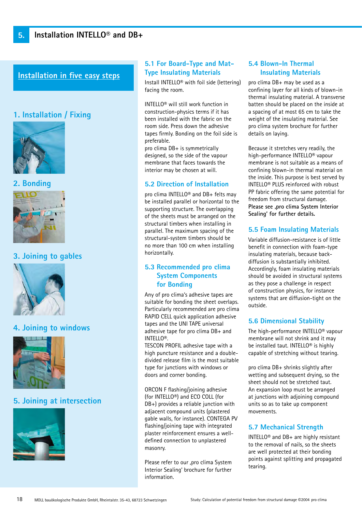### **Installation in five easy steps**

### **1. Installation / Fixing**



**2. Bonding**



### **3. Joining to gables**



### **4. Joining to windows**



### **5. Joining at intersection**



### **5.1 For Board-Type and Mat-Type Insulating Materials**

Install INTELLO® with foil side (lettering) facing the room.

INTELLO® will still work function in construction-physics terms if it has been installed with the fabric on the room side. Press down the adhesive tapes firmly. Bonding on the foil side is preferable.

pro clima DB+ is symmetrically designed, so the side of the vapour membrane that faces towards the interior may be chosen at will.

#### **5.2 Direction of Installation**

pro clima INTELLO® and DB+ felts may be installed parallel or horizontal to the supporting structure. The overlapping of the sheets must be arranged on the structural timbers when installing in parallel. The maximum spacing of the structural-system timbers should be no more than 100 cm when installing horizontally.

### **5.3 Recommended pro clima System Components for Bonding**

Any of pro clima's adhesive tapes are suitable for bonding the sheet overlaps. Particularly recommended are pro clima RAPID CELL quick application adhesive tapes and the UNI TAPE universal adhesive tape for pro clima DB+ and INTELLO®.

TESCON PROFIL adhesive tape with a high puncture resistance and a doubledivided release film is the most suitable type for junctions with windows or doors and corner bonding.

ORCON F flashing/joining adhesive (for INTELLO®) and ECO COLL (for DB+) provides a reliable junction with adjacent compound units (plastered gable walls, for instance). CONTEGA PV flashing/joining tape with integrated plaster reinforcement ensures a welldefined connection to unplastered masonry.

Please refer to our ,pro clima System Interior Sealing' brochure for further information.

### **5.4 Blown-In Thermal Insulating Materials**

pro clima DB+ may be used as a confining layer for all kinds of blown-in thermal insulating material. A transverse batten should be placed on the inside at a spacing of at most 65 cm to take the weight of the insulating material. See pro clima system brochure for further details on laying.

Because it stretches very readily, the high-performance INTELLO® vapour membrane is not suitable as a means of confining blown-in thermal material on the inside. This purpose is best served by INTELLO® PLUS reinforced with robust PP fabric offering the same potential for freedom from structural damage. **Please see 'pro clima System Interior Sealing' for further details.**

### **5.5 Foam Insulating Materials**

Variable diffusion-resistance is of little benefit in connection with foam-type insulating materials, because backdiffusion is substantially inhibited. Accordingly, foam insulating materials should be avoided in structural systems as they pose a challenge in respect of construction physics, for instance systems that are diffusion-tight on the outside.

#### **5.6 Dimensional Stability**

The high-performance INTELLO® vapour membrane will not shrink and it may be installed taut. INTELLO® is highly capable of stretching without tearing.

pro clima DB+ shrinks slightly after wetting and subsequent drying, so the sheet should not be stretched taut. An expansion loop must be arranged at junctions with adjoining compound units so as to take up component movements.

#### **5.7 Mechanical Strength**

INTELLO<sup>®</sup> and DB+ are highly resistant to the removal of nails, so the sheets are well protected at their bonding points against splitting and propagated tearing.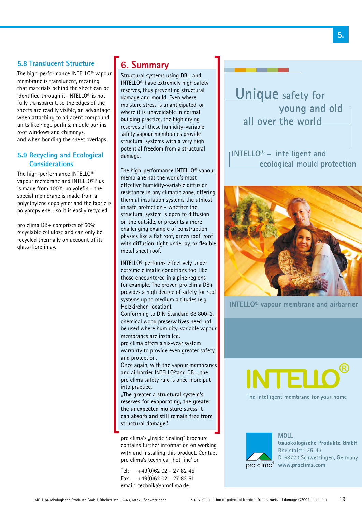### **5.8 Translucent Structure**

The high-performance INTELLO® vapour membrane is translucent, meaning that materials behind the sheet can be identified through it. INTELLO® is not fully transparent, so the edges of the sheets are readily visible, an advantage when attaching to adjacent compound units like ridge purlins, middle purlins, roof windows and chimneys, and when bonding the sheet overlaps.

### **5.9 Recycling and Ecological Considerations**

The high-performance INTELLO® vapour membrane and INTELLO®Plus is made from 100% polyolefin - the special membrane is made from a polyethylene copolymer and the fabric is polypropylene - so it is easily recycled.

pro clima DB+ comprises of 50% recyclable cellulose and can only be recycled thermally on account of its glass-fibre inlay.

## **6. Summary**

Structural systems using DB+ and INTELLO® have extremely high safety reserves, thus preventing structural damage and mould. Even where moisture stress is unanticipated, or where it is unavoidable in normal building practice, the high drying reserves of these humidity-variable safety vapour membranes provide structural systems with a very high potential freedom from a structural damage.

The high-performance INTELLO® vapour membrane has the world's most effective humidity-variable diffusion resistance in any climatic zone, offering thermal insulation systems the utmost in safe protection - whether the structural system is open to diffusion on the outside, or presents a more challenging example of construction physics like a flat roof, green roof, roof with diffusion-tight underlay, or flexible metal sheet roof.

INTELLO® performs effectively under extreme climatic conditions too, like those encountered in alpine regions for example. The proven pro clima DB+ provides a high degree of safety for roof systems up to medium altitudes (e.g. Holzkirchen location).

Conforming to DIN Standard 68 800-2, chemical wood preservatives need not be used where humidity-variable vapour membranes are installed.

pro clima offers a six-year system warranty to provide even greater safety and protection.

Once again, with the vapour membranes and airbarrier INTELLO®and DB+, the pro clima safety rule is once more put into practice,

**"The greater a structural system's reserves for evaporating, the greater the unexpected moisture stress it can absorb and still remain free from structural damage".** 

pro clima's "Inside Sealing" brochure contains further information on working with and installing this product. Contact pro clima's technical .hot line' on

Tel: +49(0)62 02 - 27 82 45 Fax: +49(0)62 02 - 27 82 51 email: technik@proclima.de

**Unique** safety for young and old all over the world

INTELLO<sup>®</sup> - intelligent and ecological mould protection



**INTELLO<sup>®</sup>** vapour membrane and airbarrier

**NTELL** The intelligent membrane for your home



**MOLL** bauökologische Produkte GmbH Rheintalstr. 35-43 D-68723 Schwetzingen, Germany pro clima<sup>®</sup> www.proclima.com